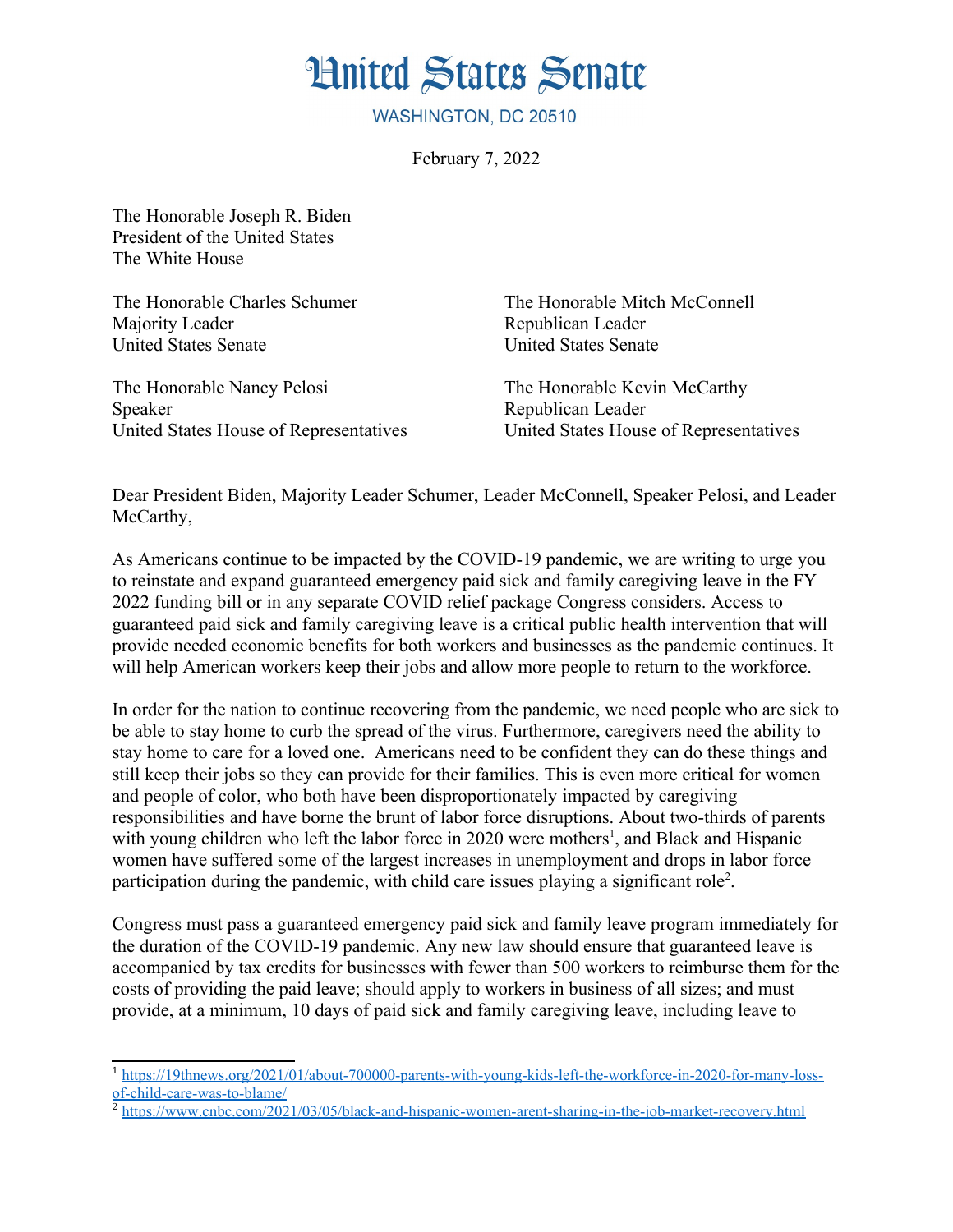**Hnited States Senate** 

WASHINGTON, DC 20510

February 7, 2022

The Honorable Joseph R. Biden President of the United States The White House

The Honorable Charles Schumer The Honorable Mitch McConnell Majority Leader **Republican Leader** Republican Leader United States Senate United States Senate

The Honorable Nancy Pelosi The Honorable Kevin McCarthy Speaker Republican Leader United States House of Representatives United States House of Representatives

<span id="page-0-2"></span><span id="page-0-0"></span>

Dear President Biden, Majority Leader Schumer, Leader McConnell, Speaker Pelosi, and Leader McCarthy,

As Americans continue to be impacted by the COVID-19 pandemic, we are writing to urge you to reinstate and expand guaranteed emergency paid sick and family caregiving leave in the FY 2022 funding bill or in any separate COVID relief package Congress considers. Access to guaranteed paid sick and family caregiving leave is a critical public health intervention that will provide needed economic benefits for both workers and businesses as the pandemic continues. It will help American workers keep their jobs and allow more people to return to the workforce.

In order for the nation to continue recovering from the pandemic, we need people who are sick to be able to stay home to curb the spread of the virus. Furthermore, caregivers need the ability to stay home to care for a loved one. Americans need to be confident they can do these things and still keep their jobs so they can provide for their families. This is even more critical for women and people of color, who both have been disproportionately impacted by caregiving responsibilities and have borne the brunt of labor force disruptions. About two-thirds of parents with young children who left the labor force in 2020 were mothers<sup>[1](#page-0-1)</sup>, and Black and Hispanic women have suffered some of the largest increases in unemployment and drops in labor force participation during the pandemic, with child care issues playing a significant role<sup>[2](#page-0-3)</sup>.

Congress must pass a guaranteed emergency paid sick and family leave program immediately for the duration of the COVID-19 pandemic. Any new law should ensure that guaranteed leave is accompanied by tax credits for businesses with fewer than 500 workers to reimburse them for the costs of providing the paid leave; should apply to workers in business of all sizes; and must provide, at a minimum, 10 days of paid sick and family caregiving leave, including leave to

<span id="page-0-1"></span><sup>&</sup>lt;sup>[1](#page-0-0)</sup> [https://19thnews.org/2021/01/about-700000-parents-with-young-kids-left-the-workforce-in-2020-for-many-loss](https://19thnews.org/2021/01/about-700000-parents-with-young-kids-left-the-workforce-in-2020-for-many-loss-of-child-care-was-to-blame/)[of-child-care-was-to-blame/](https://19thnews.org/2021/01/about-700000-parents-with-young-kids-left-the-workforce-in-2020-for-many-loss-of-child-care-was-to-blame/)

<span id="page-0-3"></span><sup>&</sup>lt;sup>[2](#page-0-2)</sup> <https://www.cnbc.com/2021/03/05/black-and-hispanic-women-arent-sharing-in-the-job-market-recovery.html>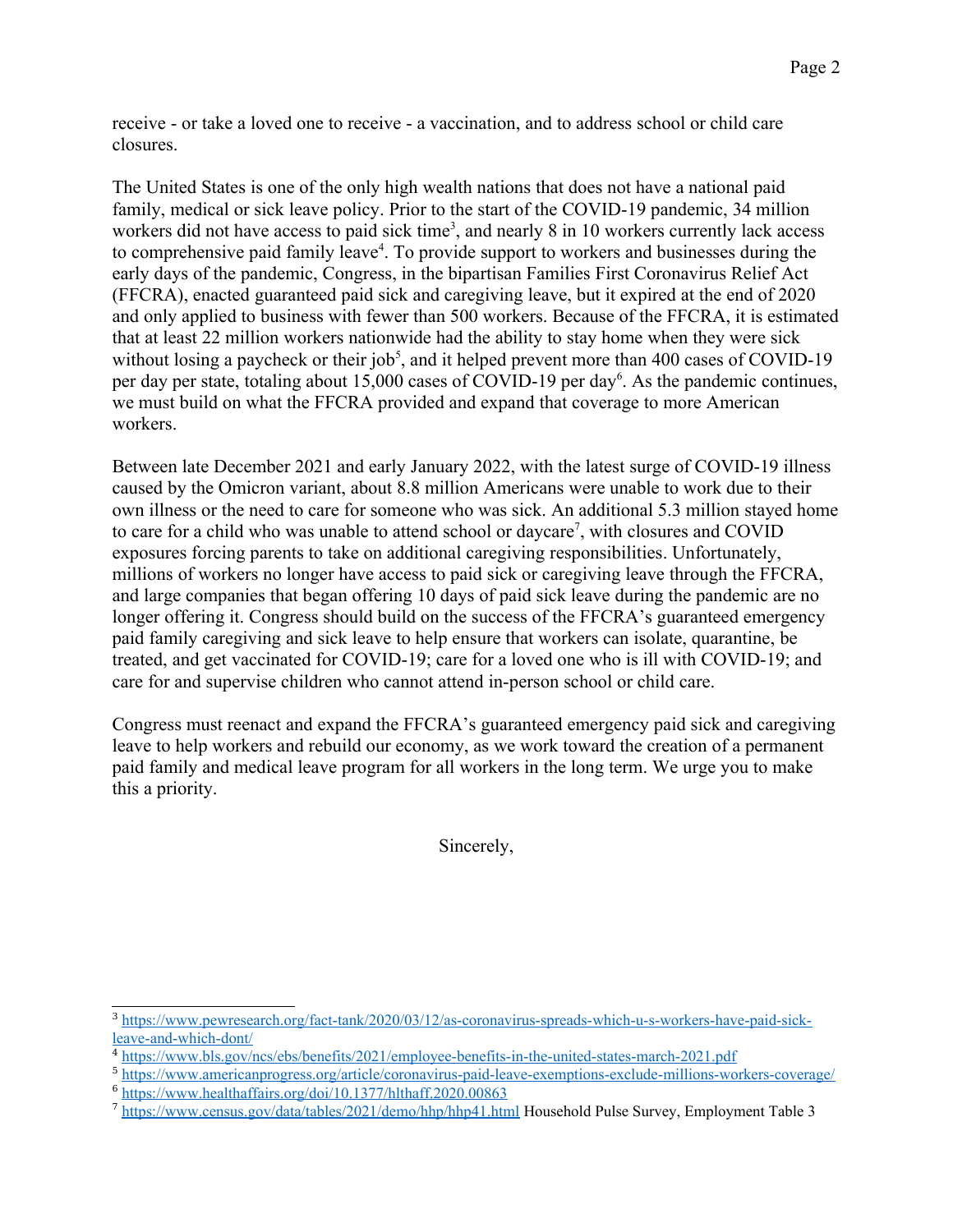receive - or take a loved one to receive - a vaccination, and to address school or child care closures.

<span id="page-1-2"></span><span id="page-1-0"></span>The United States is one of the only high wealth nations that does not have a national paid family, medical or sick leave policy. Prior to the start of the COVID-19 pandemic, 34 million workers did not have access to paid sick time<sup>[3](#page-1-1)</sup>, and nearly 8 in 10 workers currently lack access to comprehensive paid family leave<sup>[4](#page-1-3)</sup>. To provide support to workers and businesses during the early days of the pandemic, Congress, in the bipartisan Families First Coronavirus Relief Act (FFCRA), enacted guaranteed paid sick and caregiving leave, but it expired at the end of 2020 and only applied to business with fewer than 500 workers. Because of the FFCRA, it is estimated that at least 22 million workers nationwide had the ability to stay home when they were sick without losing a paycheck or their  $\mathrm{i} \mathrm{ob}^5$  $\mathrm{i} \mathrm{ob}^5$  and it helped prevent more than 400 cases of COVID-19 per day per state, totaling about 15,000 cases of COVID-19 per day<sup>[6](#page-1-7)</sup>. As the pandemic continues, we must build on what the FFCRA provided and expand that coverage to more American workers.

<span id="page-1-4"></span>Between late December 2021 and early January 2022, with the latest surge of COVID-19 illness caused by the Omicron variant, about 8.8 million Americans were unable to work due to their own illness or the need to care for someone who was sick. An additional 5.3 million stayed home to care for a child who was unable to attend school or davcare<sup>[7](#page-1-9)</sup>, with closures and COVID exposures forcing parents to take on additional caregiving responsibilities. Unfortunately, millions of workers no longer have access to paid sick or caregiving leave through the FFCRA, and large companies that began offering 10 days of paid sick leave during the pandemic are no longer offering it. Congress should build on the success of the FFCRA's guaranteed emergency paid family caregiving and sick leave to help ensure that workers can isolate, quarantine, be treated, and get vaccinated for COVID-19; care for a loved one who is ill with COVID-19; and care for and supervise children who cannot attend in-person school or child care.

Congress must reenact and expand the FFCRA's guaranteed emergency paid sick and caregiving leave to help workers and rebuild our economy, as we work toward the creation of a permanent paid family and medical leave program for all workers in the long term. We urge you to make this a priority.

<span id="page-1-8"></span><span id="page-1-6"></span>Sincerely,

<span id="page-1-1"></span>[<sup>3</sup>](#page-1-0) [https://www.pewresearch.org/fact-tank/2020/03/12/as-coronavirus-spreads-which-u-s-workers-have-paid-sick](https://www.pewresearch.org/fact-tank/2020/03/12/as-coronavirus-spreads-which-u-s-workers-have-paid-sick-leave-and-which-dont/)[leave-and-which-dont/](https://www.pewresearch.org/fact-tank/2020/03/12/as-coronavirus-spreads-which-u-s-workers-have-paid-sick-leave-and-which-dont/)

<span id="page-1-3"></span>[<sup>4</sup>](#page-1-2) <https://www.bls.gov/ncs/ebs/benefits/2021/employee-benefits-in-the-united-states-march-2021.pdf>

<span id="page-1-5"></span>[<sup>5</sup>](#page-1-4) <https://www.americanprogress.org/article/coronavirus-paid-leave-exemptions-exclude-millions-workers-coverage/>  $6$  <https://www.healthaffairs.org/doi/10.1377/hlthaff.2020.00863>

<span id="page-1-9"></span><span id="page-1-7"></span><sup>&</sup>lt;sup>[7](#page-1-8)</sup> <https://www.census.gov/data/tables/2021/demo/hhp/hhp41.html> Household Pulse Survey, Employment Table 3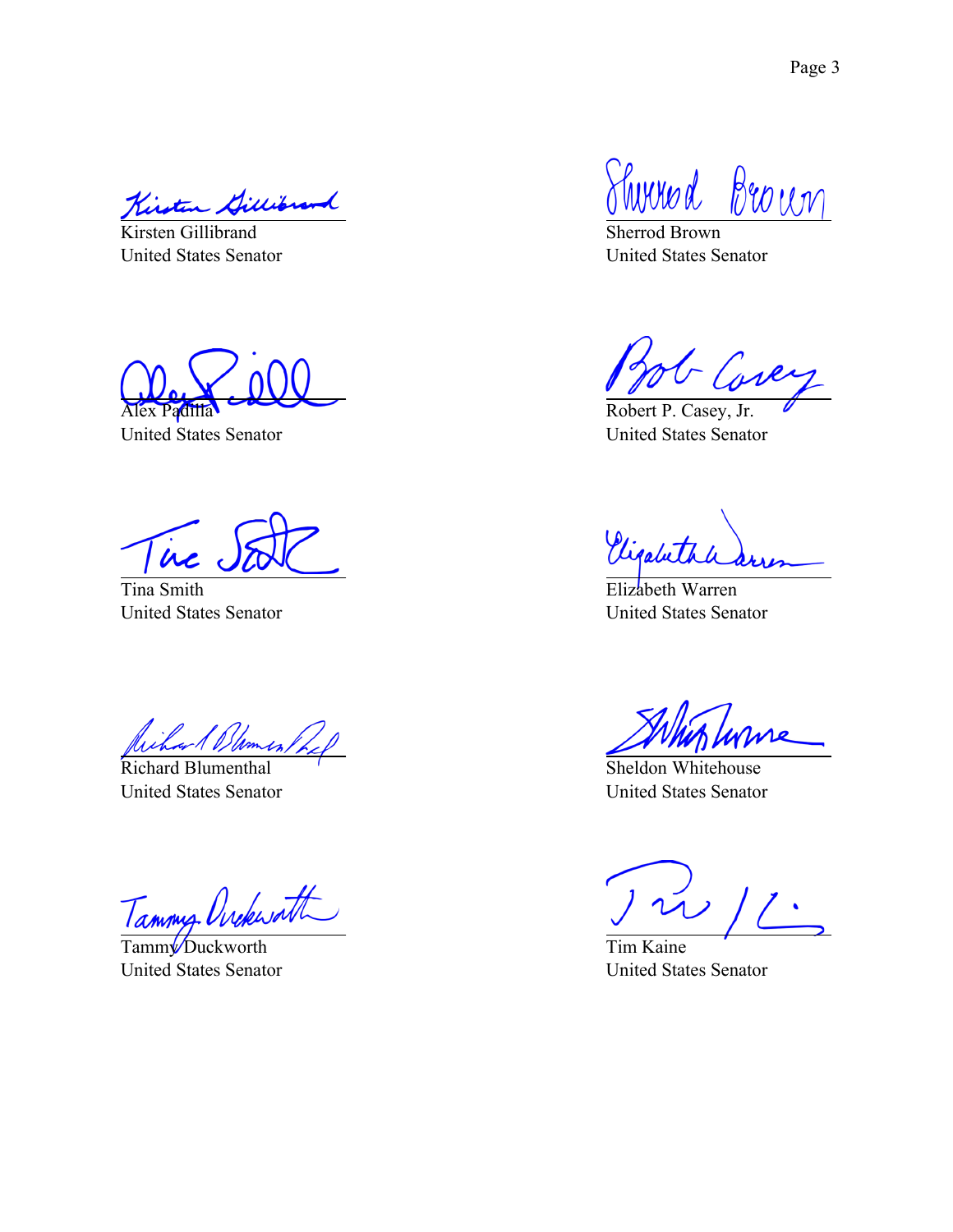Kirst

Kirsten Gillibrand United States Senator

Alex Padilla

United States Senator

 $\mu$ 

Tina Smith United States Senator

Richard Blement,

Richard Blumenthal United States Senator

Tammy Ovekwatt

Tamm<sup>y</sup> Duckworth United States Senator

Thomad Brown

Sherrod Brown United States Senator

- Core

Robert P. Casey, Jr. United States Senator

Vigalette

Elizabeth Warren United States Senator

Sheldon Whitehouse United States Senator

Tim Kaine United States Senator